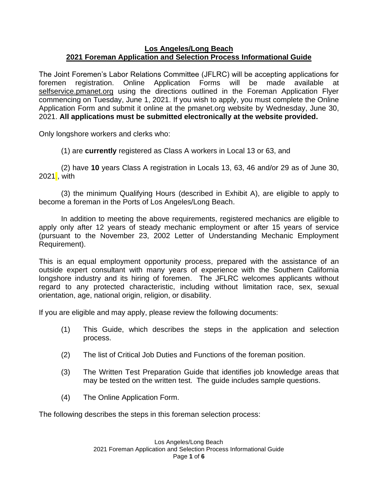## **Los Angeles/Long Beach 2021 Foreman Application and Selection Process Informational Guide**

The Joint Foremen's Labor Relations Committee (JFLRC) will be accepting applications for foremen registration. Online Application Forms will be made available at selfservice.pmanet.org using the directions outlined in the Foreman Application Flyer commencing on Tuesday, June 1, 2021. If you wish to apply, you must complete the Online Application Form and submit it online at the pmanet.org website by Wednesday, June 30, 2021. **All applications must be submitted electronically at the website provided.**

Only longshore workers and clerks who:

(1) are **currently** registered as Class A workers in Local 13 or 63, and

(2) have **10** years Class A registration in Locals 13, 63, 46 and/or 29 as of June 30, 2021, with

(3) the minimum Qualifying Hours (described in Exhibit A), are eligible to apply to become a foreman in the Ports of Los Angeles/Long Beach.

In addition to meeting the above requirements, registered mechanics are eligible to apply only after 12 years of steady mechanic employment or after 15 years of service (pursuant to the November 23, 2002 Letter of Understanding Mechanic Employment Requirement).

This is an equal employment opportunity process, prepared with the assistance of an outside expert consultant with many years of experience with the Southern California longshore industry and its hiring of foremen. The JFLRC welcomes applicants without regard to any protected characteristic, including without limitation race, sex, sexual orientation, age, national origin, religion, or disability.

If you are eligible and may apply, please review the following documents:

- (1) This Guide, which describes the steps in the application and selection process.
- (2) The list of Critical Job Duties and Functions of the foreman position.
- (3) The Written Test Preparation Guide that identifies job knowledge areas that may be tested on the written test. The guide includes sample questions.
- (4) The Online Application Form.

The following describes the steps in this foreman selection process: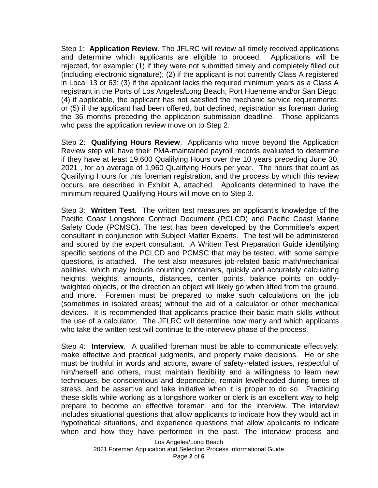Step 1: **Application Review**. The JFLRC will review all timely received applications and determine which applicants are eligible to proceed. Applications will be rejected, for example: (1) if they were not submitted timely and completely filled out (including electronic signature); (2) if the applicant is not currently Class A registered in Local 13 or 63; (3) if the applicant lacks the required minimum years as a Class A registrant in the Ports of Los Angeles/Long Beach, Port Hueneme and/or San Diego; (4) if applicable, the applicant has not satisfied the mechanic service requirements; or (5) if the applicant had been offered, but declined, registration as foreman during the 36 months preceding the application submission deadline. Those applicants who pass the application review move on to Step 2.

Step 2: **Qualifying Hours Review**. Applicants who move beyond the Application Review step will have their PMA-maintained payroll records evaluated to determine if they have at least 19,600 Qualifying Hours over the 10 years preceding June 30, 2021 , for an average of 1,960 Qualifying Hours per year. The hours that count as Qualifying Hours for this foreman registration, and the process by which this review occurs, are described in Exhibit A, attached. Applicants determined to have the minimum required Qualifying Hours will move on to Step 3.

Step 3: **Written Test**. The written test measures an applicant's knowledge of the Pacific Coast Longshore Contract Document (PCLCD) and Pacific Coast Marine Safety Code (PCMSC). The test has been developed by the Committee's expert consultant in conjunction with Subject Matter Experts. The test will be administered and scored by the expert consultant. A Written Test Preparation Guide identifying specific sections of the PCLCD and PCMSC that may be tested, with some sample questions, is attached. The test also measures job-related basic math/mechanical abilities, which may include counting containers, quickly and accurately calculating heights, weights, amounts, distances, center points, balance points on oddlyweighted objects, or the direction an object will likely go when lifted from the ground, and more. Foremen must be prepared to make such calculations on the job (sometimes in isolated areas) without the aid of a calculator or other mechanical devices. It is recommended that applicants practice their basic math skills without the use of a calculator. The JFLRC will determine how many and which applicants who take the written test will continue to the interview phase of the process.

Step 4: **Interview**. A qualified foreman must be able to communicate effectively, make effective and practical judgments, and properly make decisions. He or she must be truthful in words and actions, aware of safety-related issues, respectful of him/herself and others, must maintain flexibility and a willingness to learn new techniques, be conscientious and dependable, remain levelheaded during times of stress, and be assertive and take initiative when it is proper to do so. Practicing these skills while working as a longshore worker or clerk is an excellent way to help prepare to become an effective foreman, and for the interview. The interview includes situational questions that allow applicants to indicate how they would act in hypothetical situations, and experience questions that allow applicants to indicate when and how they have performed in the past. The interview process and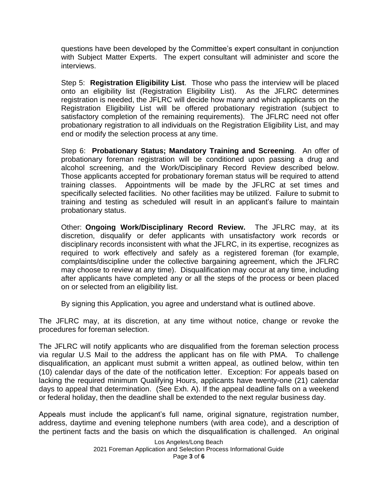questions have been developed by the Committee's expert consultant in conjunction with Subject Matter Experts. The expert consultant will administer and score the interviews.

Step 5: **Registration Eligibility List**. Those who pass the interview will be placed onto an eligibility list (Registration Eligibility List). As the JFLRC determines registration is needed, the JFLRC will decide how many and which applicants on the Registration Eligibility List will be offered probationary registration (subject to satisfactory completion of the remaining requirements). The JFLRC need not offer probationary registration to all individuals on the Registration Eligibility List, and may end or modify the selection process at any time.

Step 6: **Probationary Status; Mandatory Training and Screening**. An offer of probationary foreman registration will be conditioned upon passing a drug and alcohol screening, and the Work/Disciplinary Record Review described below. Those applicants accepted for probationary foreman status will be required to attend training classes. Appointments will be made by the JFLRC at set times and specifically selected facilities. No other facilities may be utilized. Failure to submit to training and testing as scheduled will result in an applicant's failure to maintain probationary status.

Other: **Ongoing Work/Disciplinary Record Review.** The JFLRC may, at its discretion, disqualify or defer applicants with unsatisfactory work records or disciplinary records inconsistent with what the JFLRC, in its expertise, recognizes as required to work effectively and safely as a registered foreman (for example, complaints/discipline under the collective bargaining agreement, which the JFLRC may choose to review at any time). Disqualification may occur at any time, including after applicants have completed any or all the steps of the process or been placed on or selected from an eligibility list.

By signing this Application, you agree and understand what is outlined above.

The JFLRC may, at its discretion, at any time without notice, change or revoke the procedures for foreman selection.

The JFLRC will notify applicants who are disqualified from the foreman selection process via regular U.S Mail to the address the applicant has on file with PMA. To challenge disqualification, an applicant must submit a written appeal, as outlined below, within ten (10) calendar days of the date of the notification letter. Exception: For appeals based on lacking the required minimum Qualifying Hours, applicants have twenty-one (21) calendar days to appeal that determination. (See Exh. A). If the appeal deadline falls on a weekend or federal holiday, then the deadline shall be extended to the next regular business day.

Appeals must include the applicant's full name, original signature, registration number, address, daytime and evening telephone numbers (with area code), and a description of the pertinent facts and the basis on which the disqualification is challenged. An original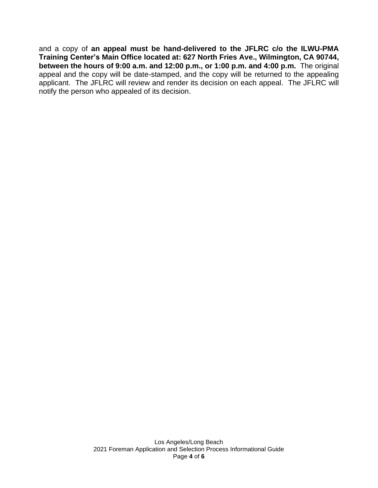and a copy of **an appeal must be hand-delivered to the JFLRC c/o the ILWU-PMA Training Center's Main Office located at: 627 North Fries Ave., Wilmington, CA 90744, between the hours of 9:00 a.m. and 12:00 p.m., or 1:00 p.m. and 4:00 p.m.** The original appeal and the copy will be date-stamped, and the copy will be returned to the appealing applicant. The JFLRC will review and render its decision on each appeal. The JFLRC will notify the person who appealed of its decision.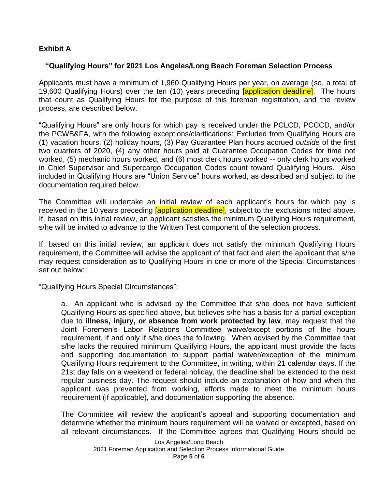## **Exhibit A**

## **"Qualifying Hours" for 2021 Los Angeles/Long Beach Foreman Selection Process**

Applicants must have a minimum of 1,960 Qualifying Hours per year, on average (so, a total of 19,600 Qualifying Hours) over the ten (10) years preceding *[application deadline]*. The hours that count as Qualifying Hours for the purpose of this foreman registration, and the review process, are described below.

"Qualifying Hours" are only hours for which pay is received under the PCLCD, PCCCD, and/or the PCWB&FA, with the following exceptions/clarifications: Excluded from Qualifying Hours are (1) vacation hours, (2) holiday hours, (3) Pay Guarantee Plan hours accrued *outside* of the first two quarters of 2020, (4) any other hours paid at Guarantee Occupation Codes for time not worked, (5) mechanic hours worked, and (6) most clerk hours worked -- only clerk hours worked in Chief Supervisor and Supercargo Occupation Codes count toward Qualifying Hours. Also included in Qualifying Hours are "Union Service" hours worked, as described and subject to the documentation required below.

The Committee will undertake an initial review of each applicant's hours for which pay is received in the 10 years preceding *[application deadline]*, subject to the exclusions noted above. If, based on this initial review, an applicant satisfies the minimum Qualifying Hours requirement, s/he will be invited to advance to the Written Test component of the selection process.

If, based on this initial review, an applicant does not satisfy the minimum Qualifying Hours requirement, the Committee will advise the applicant of that fact and alert the applicant that s/he may request consideration as to Qualifying Hours in one or more of the Special Circumstances set out below:

"Qualifying Hours Special Circumstances":

a. An applicant who is advised by the Committee that s/he does not have sufficient Qualifying Hours as specified above, but believes s/he has a basis for a partial exception due to **illness, injury, or absence from work protected by law**, may request that the Joint Foremen's Labor Relations Committee waive/except portions of the hours requirement, if and only if s/he does the following. When advised by the Committee that s/he lacks the required minimum Qualifying Hours, the applicant must provide the facts and supporting documentation to support partial waiver/exception of the minimum Qualifying Hours requirement to the Committee, in writing, within 21 calendar days. If the 21st day falls on a weekend or federal holiday, the deadline shall be extended to the next regular business day. The request should include an explanation of how and when the applicant was prevented from working, efforts made to meet the minimum hours requirement (if applicable), and documentation supporting the absence.

The Committee will review the applicant's appeal and supporting documentation and determine whether the minimum hours requirement will be waived or excepted, based on all relevant circumstances. If the Committee agrees that Qualifying Hours should be